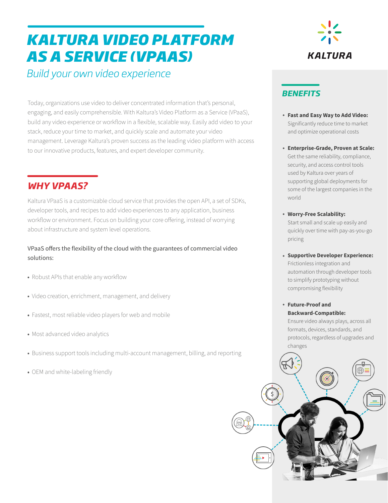# *KALTURA VIDEO PLATFORM*  **AS A SERVICE (VPAAS)**

*Build your own video experience* 

Today, organizations use video to deliver concentrated information that's personal, engaging, and easily comprehensible. With Kaltura's Video Platform as a Service (VPaaS), build any video experience or workflow in a flexible, scalable way. Easily add video to your stack, reduce your time to market, and quickly scale and automate your video management. Leverage Kaltura's proven success as the leading video platform with access to our innovative products, features, and expert developer community.

### *WHY VPAAS?*

Kaltura VPaaS is a customizable cloud service that provides the open API, a set of SDKs, developer tools, and recipes to add video experiences to any application, business workflow or environment. Focus on building your core offering, instead of worrying about infrastructure and system level operations.

VPaaS offers the flexibility of the cloud with the guarantees of commercial video solutions:

- Robust APIs that enable any workflow
- Video creation, enrichment, management, and delivery
- Fastest, most reliable video players for web and mobile
- Most advanced video analytics
- Business support tools including multi-account management, billing, and reporting
- OEM and white-labeling friendly



#### *BENEFITS*

- **Fast and Easy Way to Add Video:**  Significantly reduce time to market and optimize operational costs
- **Enterprise-Grade, Proven at Scale:**  Get the same reliability, compliance, security, and access control tools used by Kaltura over years of supporting global deployments for some of the largest companies in the world
- **Worry-Free Scalability:**  Start small and scale up easily and quickly over time with pay-as-you-go pricing
- **Supportive Developer Experience:**  Frictionless integration and automation through developer tools to simplify prototyping without compromising flexibility

**Future-Proof and Backward-Compatible:**  Ensure video always plays, across all formats, devices, standards, and protocols, regardless of upgrades and changes